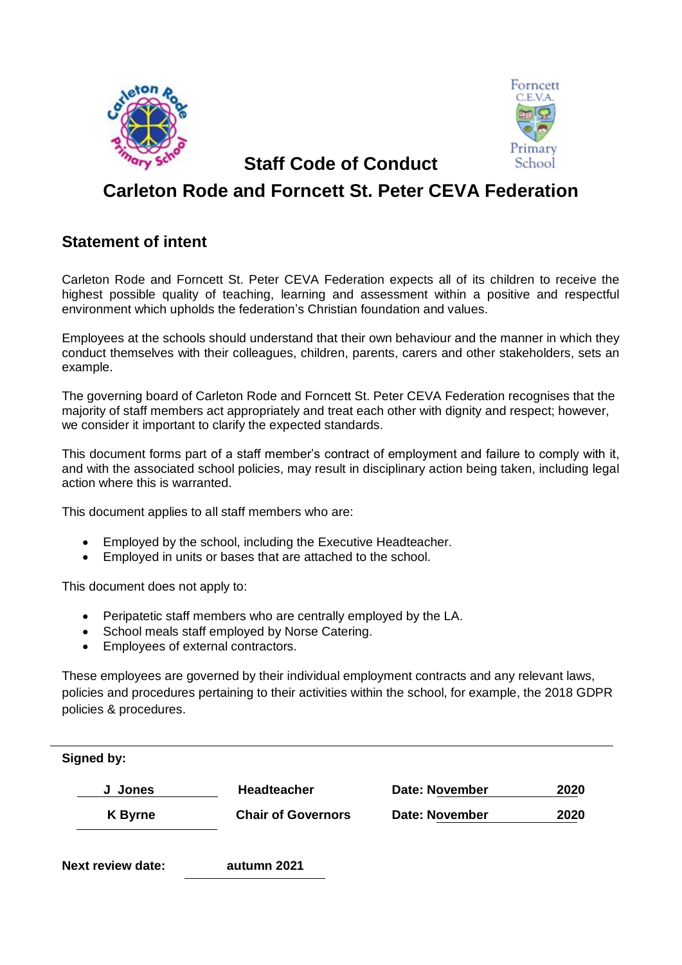



 **Staff Code of Conduct** 

# **Carleton Rode and Forncett St. Peter CEVA Federation**

# **Statement of intent**

Carleton Rode and Forncett St. Peter CEVA Federation expects all of its children to receive the highest possible quality of teaching, learning and assessment within a positive and respectful environment which upholds the federation's Christian foundation and values.

Employees at the schools should understand that their own behaviour and the manner in which they conduct themselves with their colleagues, children, parents, carers and other stakeholders, sets an example.

The governing board of Carleton Rode and Forncett St. Peter CEVA Federation recognises that the majority of staff members act appropriately and treat each other with dignity and respect; however, we consider it important to clarify the expected standards.

This document forms part of a staff member's contract of employment and failure to comply with it, and with the associated school policies, may result in disciplinary action being taken, including legal action where this is warranted.

This document applies to all staff members who are:

- Employed by the school, including the Executive Headteacher.
- Employed in units or bases that are attached to the school.

This document does not apply to:

- Peripatetic staff members who are centrally employed by the LA.
- School meals staff employed by Norse Catering.
- Employees of external contractors.

These employees are governed by their individual employment contracts and any relevant laws, policies and procedures pertaining to their activities within the school, for example, the 2018 GDPR policies & procedures.

| Signed by:               |                           |                       |      |
|--------------------------|---------------------------|-----------------------|------|
| Jones<br>J               | <b>Headteacher</b>        | <b>Date: November</b> | 2020 |
| <b>K</b> Byrne           | <b>Chair of Governors</b> | <b>Date: November</b> | 2020 |
| <b>Next review date:</b> | autumn 2021               |                       |      |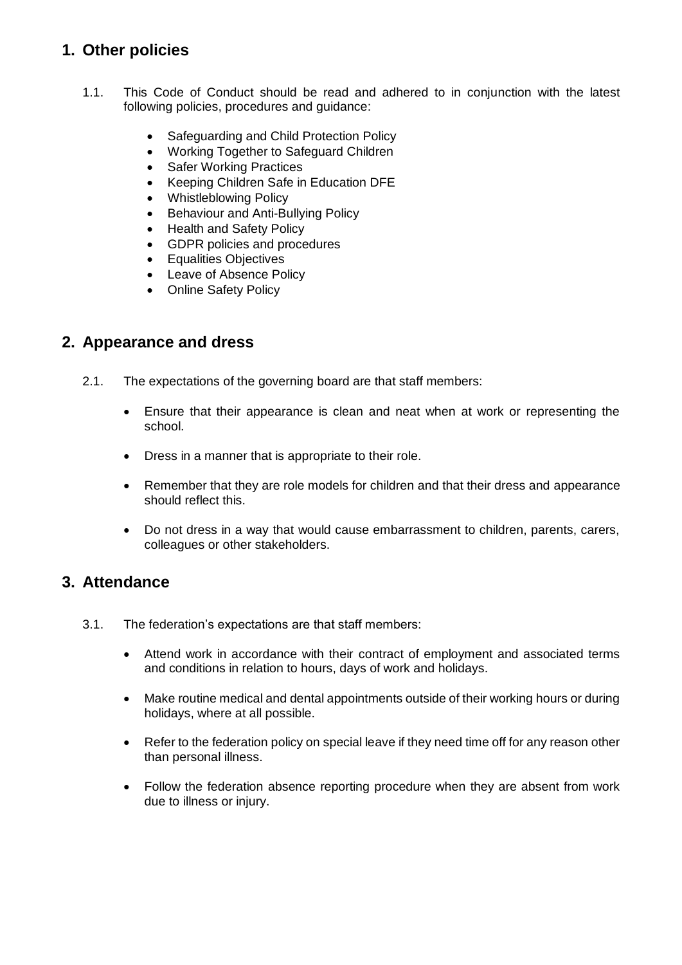# **1. Other policies**

- 1.1. This Code of Conduct should be read and adhered to in conjunction with the latest following policies, procedures and guidance:
	- Safeguarding and Child Protection Policy
	- Working Together to Safeguard Children
	- Safer Working Practices
	- Keeping Children Safe in Education DFE
	- Whistleblowing Policy
	- Behaviour and Anti-Bullying Policy
	- Health and Safety Policy
	- GDPR policies and procedures
	- Equalities Objectives
	- Leave of Absence Policy
	- Online Safety Policy

#### **2. Appearance and dress**

- 2.1. The expectations of the governing board are that staff members:
	- Ensure that their appearance is clean and neat when at work or representing the school.
	- Dress in a manner that is appropriate to their role.
	- Remember that they are role models for children and that their dress and appearance should reflect this.
	- Do not dress in a way that would cause embarrassment to children, parents, carers, colleagues or other stakeholders.

#### **3. Attendance**

- 3.1. The federation's expectations are that staff members:
	- Attend work in accordance with their contract of employment and associated terms and conditions in relation to hours, days of work and holidays.
	- Make routine medical and dental appointments outside of their working hours or during holidays, where at all possible.
	- Refer to the federation policy on special leave if they need time off for any reason other than personal illness.
	- Follow the federation absence reporting procedure when they are absent from work due to illness or injury.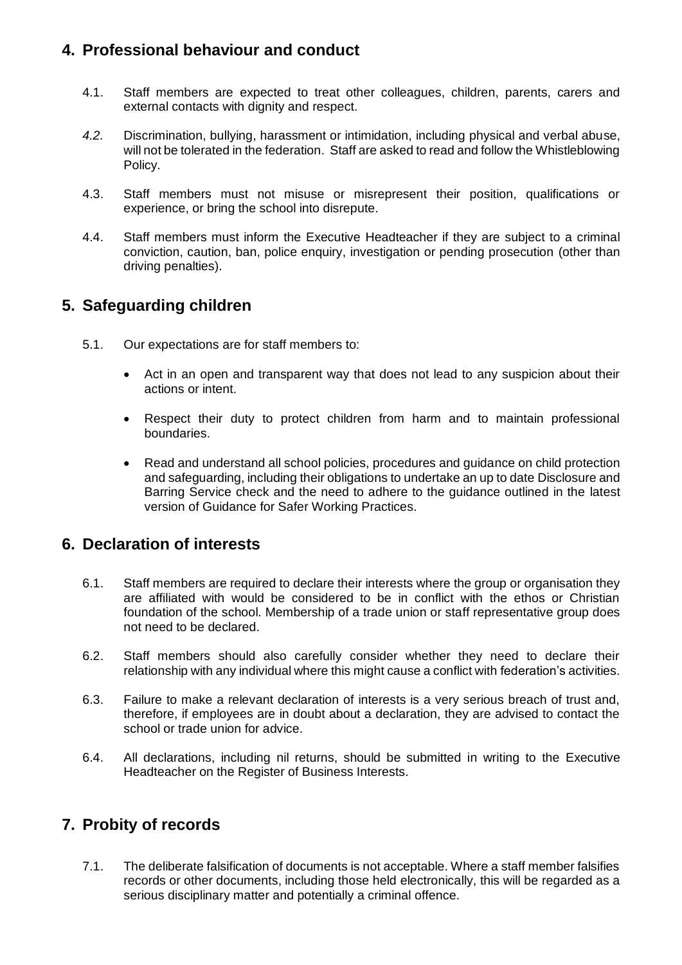# **4. Professional behaviour and conduct**

- 4.1. Staff members are expected to treat other colleagues, children, parents, carers and external contacts with dignity and respect.
- *4.2.* Discrimination, bullying, harassment or intimidation, including physical and verbal abuse, will not be tolerated in the federation. Staff are asked to read and follow the Whistleblowing Policy.
- 4.3. Staff members must not misuse or misrepresent their position, qualifications or experience, or bring the school into disrepute.
- 4.4. Staff members must inform the Executive Headteacher if they are subject to a criminal conviction, caution, ban, police enquiry, investigation or pending prosecution (other than driving penalties).

#### **5. Safeguarding children**

- 5.1. Our expectations are for staff members to:
	- Act in an open and transparent way that does not lead to any suspicion about their actions or intent.
	- Respect their duty to protect children from harm and to maintain professional boundaries.
	- Read and understand all school policies, procedures and guidance on child protection and safeguarding, including their obligations to undertake an up to date Disclosure and Barring Service check and the need to adhere to the guidance outlined in the latest version of Guidance for Safer Working Practices.

#### **6. Declaration of interests**

- 6.1. Staff members are required to declare their interests where the group or organisation they are affiliated with would be considered to be in conflict with the ethos or Christian foundation of the school. Membership of a trade union or staff representative group does not need to be declared.
- 6.2. Staff members should also carefully consider whether they need to declare their relationship with any individual where this might cause a conflict with federation's activities.
- 6.3. Failure to make a relevant declaration of interests is a very serious breach of trust and, therefore, if employees are in doubt about a declaration, they are advised to contact the school or trade union for advice.
- 6.4. All declarations, including nil returns, should be submitted in writing to the Executive Headteacher on the Register of Business Interests.

# **7. Probity of records**

7.1. The deliberate falsification of documents is not acceptable. Where a staff member falsifies records or other documents, including those held electronically, this will be regarded as a serious disciplinary matter and potentially a criminal offence.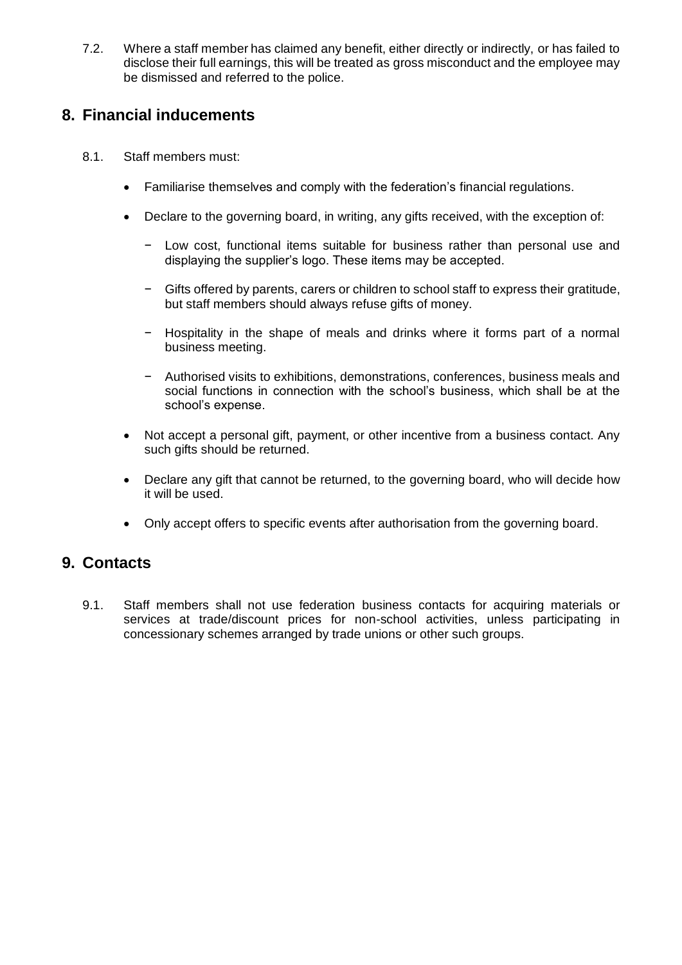7.2. Where a staff member has claimed any benefit, either directly or indirectly, or has failed to disclose their full earnings, this will be treated as gross misconduct and the employee may be dismissed and referred to the police.

# **8. Financial inducements**

- 8.1. Staff members must:
	- Familiarise themselves and comply with the federation's financial regulations.
	- Declare to the governing board, in writing, any gifts received, with the exception of:
		- − Low cost, functional items suitable for business rather than personal use and displaying the supplier's logo. These items may be accepted.
		- − Gifts offered by parents, carers or children to school staff to express their gratitude, but staff members should always refuse gifts of money.
		- − Hospitality in the shape of meals and drinks where it forms part of a normal business meeting.
		- − Authorised visits to exhibitions, demonstrations, conferences, business meals and social functions in connection with the school's business, which shall be at the school's expense.
	- Not accept a personal gift, payment, or other incentive from a business contact. Any such gifts should be returned.
	- Declare any gift that cannot be returned, to the governing board, who will decide how it will be used.
	- Only accept offers to specific events after authorisation from the governing board.

# **9. Contacts**

9.1. Staff members shall not use federation business contacts for acquiring materials or services at trade/discount prices for non-school activities, unless participating in concessionary schemes arranged by trade unions or other such groups.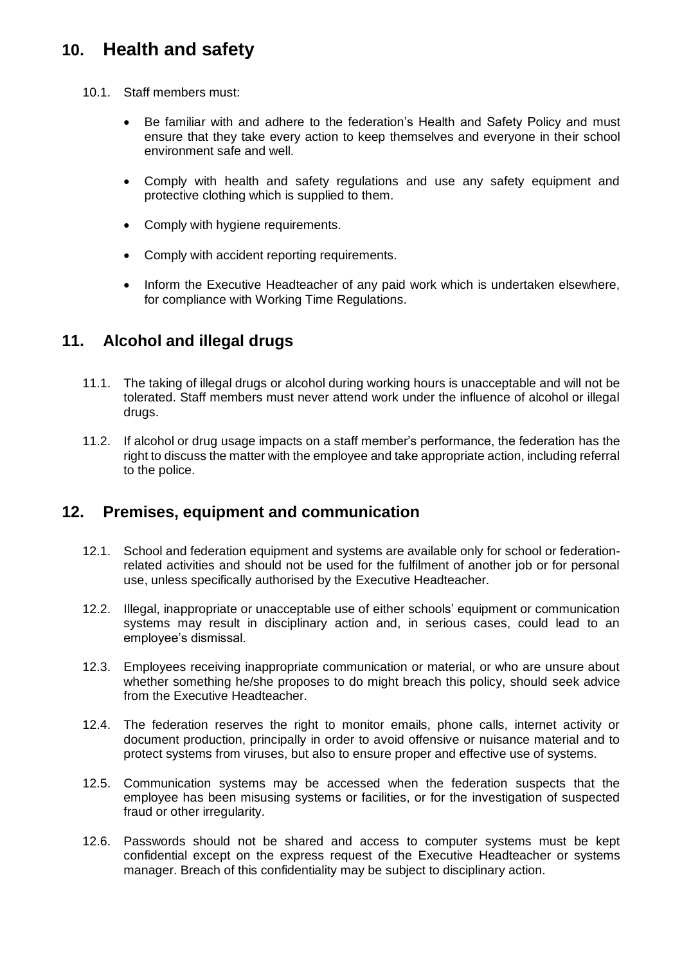# **10. Health and safety**

- 10.1. Staff members must:
	- Be familiar with and adhere to the federation's Health and Safety Policy and must ensure that they take every action to keep themselves and everyone in their school environment safe and well.
	- Comply with health and safety regulations and use any safety equipment and protective clothing which is supplied to them.
	- Comply with hygiene requirements.
	- Comply with accident reporting requirements.
	- Inform the Executive Headteacher of any paid work which is undertaken elsewhere, for compliance with Working Time Regulations.

# **11. Alcohol and illegal drugs**

- 11.1. The taking of illegal drugs or alcohol during working hours is unacceptable and will not be tolerated. Staff members must never attend work under the influence of alcohol or illegal drugs.
- 11.2. If alcohol or drug usage impacts on a staff member's performance, the federation has the right to discuss the matter with the employee and take appropriate action, including referral to the police.

# **12. Premises, equipment and communication**

- 12.1. School and federation equipment and systems are available only for school or federationrelated activities and should not be used for the fulfilment of another job or for personal use, unless specifically authorised by the Executive Headteacher.
- 12.2. Illegal, inappropriate or unacceptable use of either schools' equipment or communication systems may result in disciplinary action and, in serious cases, could lead to an employee's dismissal.
- 12.3. Employees receiving inappropriate communication or material, or who are unsure about whether something he/she proposes to do might breach this policy, should seek advice from the Executive Headteacher.
- 12.4. The federation reserves the right to monitor emails, phone calls, internet activity or document production, principally in order to avoid offensive or nuisance material and to protect systems from viruses, but also to ensure proper and effective use of systems.
- 12.5. Communication systems may be accessed when the federation suspects that the employee has been misusing systems or facilities, or for the investigation of suspected fraud or other irregularity.
- 12.6. Passwords should not be shared and access to computer systems must be kept confidential except on the express request of the Executive Headteacher or systems manager. Breach of this confidentiality may be subject to disciplinary action.